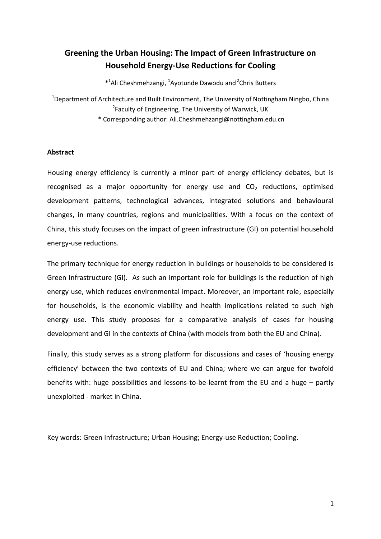# **Greening the Urban Housing: The Impact of Green Infrastructure on Household Energy-Use Reductions for Cooling**

\*<sup>1</sup>Ali Cheshmehzangi, <sup>1</sup>Ayotunde Dawodu and <sup>2</sup>Chris Butters

<sup>1</sup>Department of Architecture and Built Environment, The University of Nottingham Ningbo, China <sup>2</sup>Faculty of Engineering, The University of Warwick, UK

\* Corresponding author: Ali.Cheshmehzangi@nottingham.edu.cn

### **Abstract**

Housing energy efficiency is currently a minor part of energy efficiency debates, but is recognised as a major opportunity for energy use and  $CO<sub>2</sub>$  reductions, optimised development patterns, technological advances, integrated solutions and behavioural changes, in many countries, regions and municipalities. With a focus on the context of China, this study focuses on the impact of green infrastructure (GI) on potential household energy-use reductions.

The primary technique for energy reduction in buildings or households to be considered is Green Infrastructure (GI). As such an important role for buildings is the reduction of high energy use, which reduces environmental impact. Moreover, an important role, especially for households, is the economic viability and health implications related to such high energy use. This study proposes for a comparative analysis of cases for housing development and GI in the contexts of China (with models from both the EU and China).

Finally, this study serves as a strong platform for discussions and cases of 'housing energy efficiency' between the two contexts of EU and China; where we can argue for twofold benefits with: huge possibilities and lessons-to-be-learnt from the EU and a huge – partly unexploited - market in China.

Key words: Green Infrastructure; Urban Housing; Energy-use Reduction; Cooling.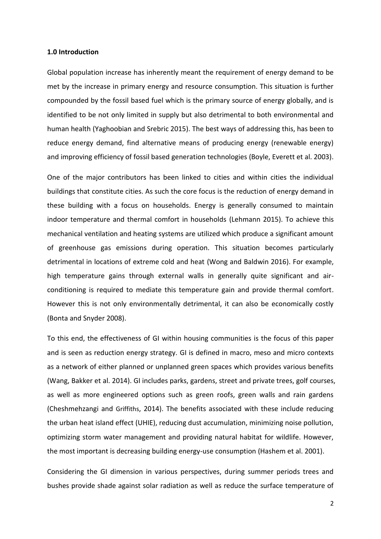#### **1.0 Introduction**

Global population increase has inherently meant the requirement of energy demand to be met by the increase in primary energy and resource consumption. This situation is further compounded by the fossil based fuel which is the primary source of energy globally, and is identified to be not only limited in supply but also detrimental to both environmental and human health (Yaghoobian and Srebric 2015). The best ways of addressing this, has been to reduce energy demand, find alternative means of producing energy (renewable energy) and improving efficiency of fossil based generation technologies (Boyle, Everett et al. 2003).

One of the major contributors has been linked to cities and within cities the individual buildings that constitute cities. As such the core focus is the reduction of energy demand in these building with a focus on households. Energy is generally consumed to maintain indoor temperature and thermal comfort in households (Lehmann 2015). To achieve this mechanical ventilation and heating systems are utilized which produce a significant amount of greenhouse gas emissions during operation. This situation becomes particularly detrimental in locations of extreme cold and heat (Wong and Baldwin 2016). For example, high temperature gains through external walls in generally quite significant and airconditioning is required to mediate this temperature gain and provide thermal comfort. However this is not only environmentally detrimental, it can also be economically costly (Bonta and Snyder 2008).

To this end, the effectiveness of GI within housing communities is the focus of this paper and is seen as reduction energy strategy. GI is defined in macro, meso and micro contexts as a network of either planned or unplanned green spaces which provides various benefits (Wang, Bakker et al. 2014). GI includes parks, gardens, street and private trees, golf courses, as well as more engineered options such as green roofs, green walls and rain gardens (Cheshmehzangi and Griffiths, 2014). The benefits associated with these include reducing the urban heat island effect (UHIE), reducing dust accumulation, minimizing noise pollution, optimizing storm water management and providing natural habitat for wildlife. However, the most important is decreasing building energy-use consumption (Hashem et al. 2001).

Considering the GI dimension in various perspectives, during summer periods trees and bushes provide shade against solar radiation as well as reduce the surface temperature of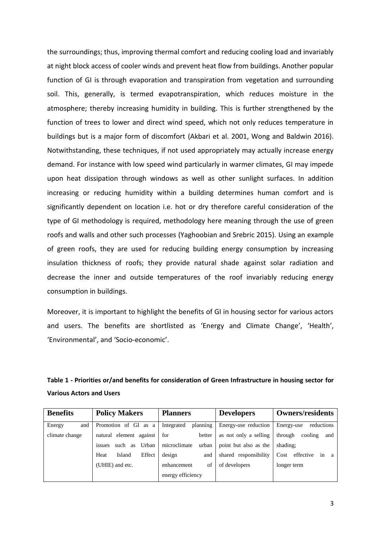the surroundings; thus, improving thermal comfort and reducing cooling load and invariably at night block access of cooler winds and prevent heat flow from buildings. Another popular function of GI is through evaporation and transpiration from vegetation and surrounding soil. This, generally, is termed evapotranspiration, which reduces moisture in the atmosphere; thereby increasing humidity in building. This is further strengthened by the function of trees to lower and direct wind speed, which not only reduces temperature in buildings but is a major form of discomfort (Akbari et al. 2001, Wong and Baldwin 2016). Notwithstanding, these techniques, if not used appropriately may actually increase energy demand. For instance with low speed wind particularly in warmer climates, GI may impede upon heat dissipation through windows as well as other sunlight surfaces. In addition increasing or reducing humidity within a building determines human comfort and is significantly dependent on location i.e. hot or dry therefore careful consideration of the type of GI methodology is required, methodology here meaning through the use of green roofs and walls and other such processes (Yaghoobian and Srebric 2015). Using an example of green roofs, they are used for reducing building energy consumption by increasing insulation thickness of roofs; they provide natural shade against solar radiation and decrease the inner and outside temperatures of the roof invariably reducing energy consumption in buildings.

Moreover, it is important to highlight the benefits of GI in housing sector for various actors and users. The benefits are shortlisted as 'Energy and Climate Change', 'Health', 'Environmental', and 'Socio-economic'.

# **Table 1 - Priorities or/and benefits for consideration of Green Infrastructure in housing sector for Various Actors and Users**

| <b>Benefits</b> | <b>Policy Makers</b>          | <b>Planners</b>        | <b>Developers</b>     | <b>Owners/residents</b>     |
|-----------------|-------------------------------|------------------------|-----------------------|-----------------------------|
| Energy<br>and   | Promotion of GI as a          | planning<br>Integrated | Energy-use reduction  | Energy-use<br>reductions    |
| climate change  | natural element against       | for<br>better          | as not only a selling | through<br>cooling<br>and   |
|                 | Urban<br>such<br>as<br>issues | microclimate<br>urban  | point but also as the | shading:                    |
|                 | Effect<br>Island<br>Heat      | design<br>and          | shared responsibility | effective in<br>Cost<br>a a |
|                 | (UHIE) and etc.               | of<br>enhancement      | of developers         | longer term                 |
|                 |                               | energy efficiency      |                       |                             |
|                 |                               |                        |                       |                             |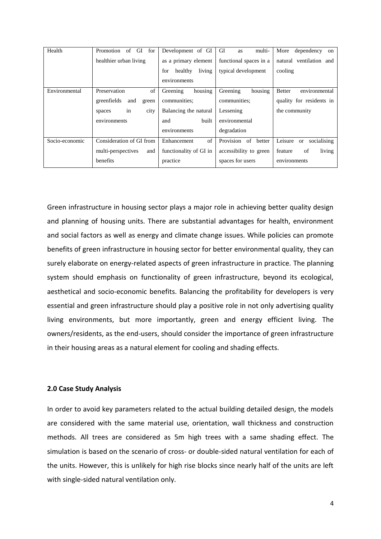| Health         | Promotion<br>GI<br>for<br>of | Development of GI        | GI<br>multi-<br>as        | More<br>dependency<br><sub>on</sub> |
|----------------|------------------------------|--------------------------|---------------------------|-------------------------------------|
|                | healthier urban living       | as a primary element     | functional spaces in a    | natural ventilation and             |
|                |                              | living<br>for<br>healthy | typical development       | cooling                             |
|                |                              | environments             |                           |                                     |
| Environmental  | of<br>Preservation           | housing<br>Greening      | housing<br>Greening       | <b>Better</b><br>environmental      |
|                | greenfields<br>and<br>green  | communities:             | communities:              | quality for residents in            |
|                | city<br>in<br>spaces         | Balancing the natural    | Lessening                 | the community                       |
|                | environments                 | built<br>and             | environmental             |                                     |
|                |                              | environments             | degradation               |                                     |
| Socio-economic | Consideration of GI from     | of<br>Enhancement        | Provision<br>of<br>better | Leisure<br>socialising<br>or        |
|                | multi-perspectives<br>and    | functionality of GI in   | accessibility to green    | living<br>feature<br>of             |
|                | benefits                     | practice                 | spaces for users          | environments                        |

Green infrastructure in housing sector plays a major role in achieving better quality design and planning of housing units. There are substantial advantages for health, environment and social factors as well as energy and climate change issues. While policies can promote benefits of green infrastructure in housing sector for better environmental quality, they can surely elaborate on energy-related aspects of green infrastructure in practice. The planning system should emphasis on functionality of green infrastructure, beyond its ecological, aesthetical and socio-economic benefits. Balancing the profitability for developers is very essential and green infrastructure should play a positive role in not only advertising quality living environments, but more importantly, green and energy efficient living. The owners/residents, as the end-users, should consider the importance of green infrastructure in their housing areas as a natural element for cooling and shading effects.

#### **2.0 Case Study Analysis**

In order to avoid key parameters related to the actual building detailed design, the models are considered with the same material use, orientation, wall thickness and construction methods. All trees are considered as 5m high trees with a same shading effect. The simulation is based on the scenario of cross- or double-sided natural ventilation for each of the units. However, this is unlikely for high rise blocks since nearly half of the units are left with single-sided natural ventilation only.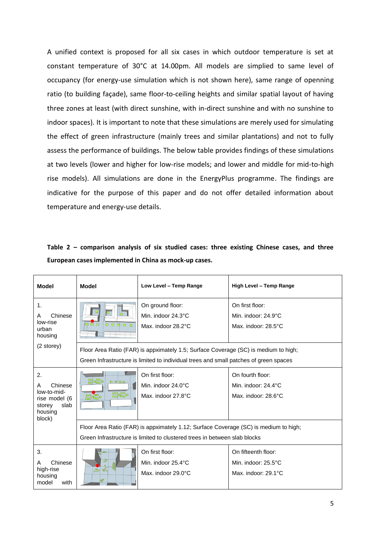A unified context is proposed for all six cases in which outdoor temperature is set at constant temperature of 30°C at 14.00pm. All models are simplied to same level of occupancy (for energy-use simulation which is not shown here), same range of openning ratio (to building façade), same floor-to-ceiling heights and similar spatial layout of having three zones at least (with direct sunshine, with in-direct sunshine and with no sunshine to indoor spaces). It is important to note that these simulations are merely used for simulating the effect of green infrastructure (mainly trees and similar plantations) and not to fully assess the performance of buildings. The below table provides findings of these simulations at two levels (lower and higher for low-rise models; and lower and middle for mid-to-high rise models). All simulations are done in the EnergyPlus programme. The findings are indicative for the purpose of this paper and do not offer detailed information about temperature and energy-use details.

| <b>Model</b>                                                                              | Model                                                                                                                                                                        | Low Level - Temp Range                                       | High Level - Temp Range                                                  |  |
|-------------------------------------------------------------------------------------------|------------------------------------------------------------------------------------------------------------------------------------------------------------------------------|--------------------------------------------------------------|--------------------------------------------------------------------------|--|
| $\mathbf{1}$ .<br>Chinese<br>A<br>low-rise<br>urban<br>housing                            | $\overline{\Pi}$ $\overline{\Pi}$<br>00000                                                                                                                                   | On ground floor:<br>Min. indoor 24.3°C<br>Max. indoor 28.2°C | On first floor:<br>Min. indoor: 24.9°C<br>Max. indoor: 28.5°C            |  |
| (2 storey)                                                                                | Floor Area Ratio (FAR) is appximately 1.5; Surface Coverage (SC) is medium to high;<br>Green Infrastructure is limited to individual trees and small patches of green spaces |                                                              |                                                                          |  |
| 2.<br>Chinese<br>A<br>low-to-mid-<br>rise model (6<br>slab<br>storey<br>housing<br>block) | $^{00}_{00}$ $^{00}_{00}$ o<br>0000<br>0000000<br>$00 - 00$                                                                                                                  | On first floor:<br>Min. indoor 24.0°C<br>Max. indoor 27.8°C  | On fourth floor:<br>Min. indoor: $24.4^{\circ}$ C<br>Max. indoor: 28.6°C |  |
|                                                                                           | Floor Area Ratio (FAR) is appximately 1.12; Surface Coverage (SC) is medium to high;<br>Green Infrastructure is limited to clustered trees in between slab blocks            |                                                              |                                                                          |  |
| 3.<br>Chinese<br>A<br>high-rise<br>housing<br>model<br>with                               | 욻<br>$\frac{1}{200}$ $\frac{1}{20}$<br><b>ogu</b>                                                                                                                            | On first floor:<br>Min. indoor 25.4°C<br>Max. indoor 29.0°C  | On fifteenth floor:<br>Min. indoor: 25.5°C<br>Max. indoor: 29.1°C        |  |

**Table 2 – comparison analysis of six studied cases: three existing Chinese cases, and three European cases implemented in China as mock-up cases.**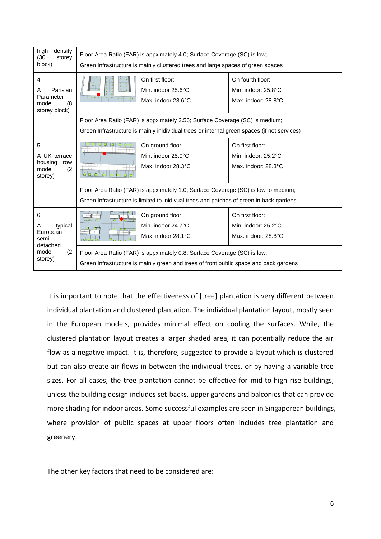| high<br>density<br>(30)<br>storey<br>block)                       | Floor Area Ratio (FAR) is appximately 4.0; Surface Coverage (SC) is low;<br>Green Infrastructure is mainly clustered trees and large spaces of green spaces                   |                                                              |                                                                |  |
|-------------------------------------------------------------------|-------------------------------------------------------------------------------------------------------------------------------------------------------------------------------|--------------------------------------------------------------|----------------------------------------------------------------|--|
| 4.<br>Parisian<br>А<br>Parameter<br>model<br>(8)<br>storey block) | 00000                                                                                                                                                                         | On first floor:<br>Min. indoor 25.6°C<br>Max. indoor 28.6°C  | On fourth floor:<br>Min. indoor: 25.8°C<br>Max. indoor: 28.8°C |  |
|                                                                   | Floor Area Ratio (FAR) is appximately 2.56; Surface Coverage (SC) is medium;<br>Green Infrastructure is mainly inidividual trees or internal green spaces (if not services)   |                                                              |                                                                |  |
| 5.<br>A UK terrace<br>housing<br>row<br>model<br>(2)<br>storey)   | 00000000<br>n                                                                                                                                                                 | On ground floor:<br>Min. indoor 25.0°C<br>Max. indoor 28.3°C | On first floor:<br>Min. indoor: 25.2°C<br>Max. indoor: 28.3°C  |  |
|                                                                   | Floor Area Ratio (FAR) is appximately 1.0; Surface Coverage (SC) is low to medium;<br>Green Infrastructure is limited to inidivual trees and patches of green in back gardens |                                                              |                                                                |  |
| 6.<br>typical<br>Α<br>European<br>semi-                           |                                                                                                                                                                               | On ground floor:<br>Min. indoor 24.7°C<br>Max. indoor 28.1°C | On first floor:<br>Min. indoor: 25.2°C<br>Max. indoor: 28.8°C  |  |
| detached<br>model<br>(2)<br>storey)                               | Floor Area Ratio (FAR) is appximately 0.8; Surface Coverage (SC) is low;<br>Green Infrastructure is mainly green and trees of front public space and back gardens             |                                                              |                                                                |  |

It is important to note that the effectiveness of [tree] plantation is very different between individual plantation and clustered plantation. The individual plantation layout, mostly seen in the European models, provides minimal effect on cooling the surfaces. While, the clustered plantation layout creates a larger shaded area, it can potentially reduce the air flow as a negative impact. It is, therefore, suggested to provide a layout which is clustered but can also create air flows in between the individual trees, or by having a variable tree sizes. For all cases, the tree plantation cannot be effective for mid-to-high rise buildings, unless the building design includes set-backs, upper gardens and balconies that can provide more shading for indoor areas. Some successful examples are seen in Singaporean buildings, where provision of public spaces at upper floors often includes tree plantation and greenery.

The other key factors that need to be considered are: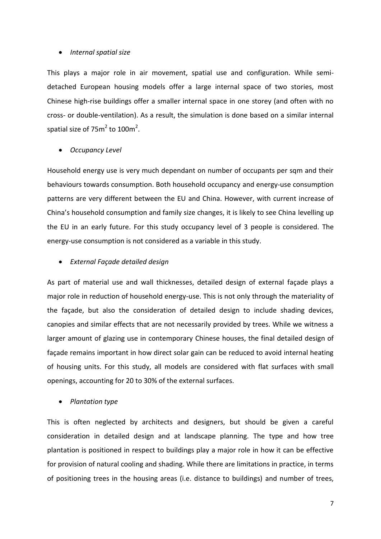# *Internal spatial size*

This plays a major role in air movement, spatial use and configuration. While semidetached European housing models offer a large internal space of two stories, most Chinese high-rise buildings offer a smaller internal space in one storey (and often with no cross- or double-ventilation). As a result, the simulation is done based on a similar internal spatial size of 75 $m^2$  to 100 $m^2$ .

### *Occupancy Level*

Household energy use is very much dependant on number of occupants per sqm and their behaviours towards consumption. Both household occupancy and energy-use consumption patterns are very different between the EU and China. However, with current increase of China's household consumption and family size changes, it is likely to see China levelling up the EU in an early future. For this study occupancy level of 3 people is considered. The energy-use consumption is not considered as a variable in this study.

### *External Façade detailed design*

As part of material use and wall thicknesses, detailed design of external façade plays a major role in reduction of household energy-use. This is not only through the materiality of the façade, but also the consideration of detailed design to include shading devices, canopies and similar effects that are not necessarily provided by trees. While we witness a larger amount of glazing use in contemporary Chinese houses, the final detailed design of façade remains important in how direct solar gain can be reduced to avoid internal heating of housing units. For this study, all models are considered with flat surfaces with small openings, accounting for 20 to 30% of the external surfaces.

# *Plantation type*

This is often neglected by architects and designers, but should be given a careful consideration in detailed design and at landscape planning. The type and how tree plantation is positioned in respect to buildings play a major role in how it can be effective for provision of natural cooling and shading. While there are limitations in practice, in terms of positioning trees in the housing areas (i.e. distance to buildings) and number of trees,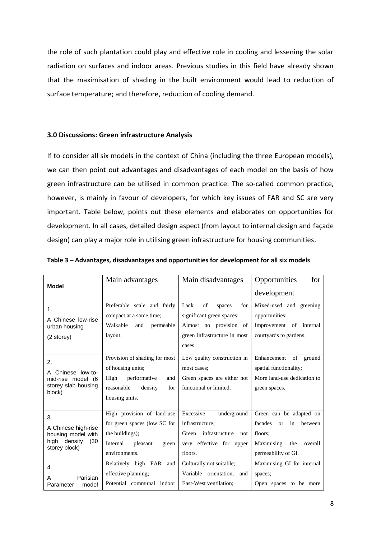the role of such plantation could play and effective role in cooling and lessening the solar radiation on surfaces and indoor areas. Previous studies in this field have already shown that the maximisation of shading in the built environment would lead to reduction of surface temperature; and therefore, reduction of cooling demand.

### **3.0 Discussions: Green infrastructure Analysis**

If to consider all six models in the context of China (including the three European models), we can then point out advantages and disadvantages of each model on the basis of how green infrastructure can be utilised in common practice. The so-called common practice, however, is mainly in favour of developers, for which key issues of FAR and SC are very important. Table below, points out these elements and elaborates on opportunities for development. In all cases, detailed design aspect (from layout to internal design and façade design) can play a major role in utilising green infrastructure for housing communities.

|                                                                                             | Main advantages                                                                                                                                            | Main disadvantages                                                                                                                            | Opportunities<br>for                                                                                                                                             |
|---------------------------------------------------------------------------------------------|------------------------------------------------------------------------------------------------------------------------------------------------------------|-----------------------------------------------------------------------------------------------------------------------------------------------|------------------------------------------------------------------------------------------------------------------------------------------------------------------|
| <b>Model</b>                                                                                |                                                                                                                                                            |                                                                                                                                               | development                                                                                                                                                      |
| 1.<br>A Chinese low-rise<br>urban housing<br>(2 storey)                                     | Preferable scale and fairly<br>compact at a same time;<br>Walkable<br>and<br>permeable<br>layout.                                                          | of<br>Lack<br>for<br>spaces<br>significant green spaces;<br>Almost no provision of<br>green infrastructure in most<br>cases.                  | Mixed-used and greening<br>opportunities;<br>Improvement of internal<br>courtyards to gardens.                                                                   |
| 2.<br>Chinese low-to-<br>mid-rise model (6<br>storey slab housing<br>block)                 | Provision of shading for most<br>of housing units;<br>performative<br>High<br>and<br>reasonable<br>density<br>for<br>housing units.                        | Low quality construction in<br>most cases;<br>Green spaces are either not<br>functional or limited.                                           | Enhancement of ground<br>spatial functionality;<br>More land-use dedication to<br>green spaces.                                                                  |
| 3.<br>A Chinese high-rise<br>housing model with<br>density<br>high<br>(30)<br>storey block) | High provision of land-use<br>for green spaces (low SC for<br>the buildings);<br>Internal<br>pleasant<br>green<br>environments.<br>Relatively high FAR and | Excessive<br>underground<br>infrastructure;<br>Green infrastructure<br>not<br>very effective for upper<br>floors.<br>Culturally not suitable; | Green can be adapted on<br>facades<br>between<br><b>or</b><br>in<br>floors:<br>Maximising<br>overall<br>the<br>permeability of GI.<br>Maximising GI for internal |
| $\overline{4}$ .<br>Parisian<br>A<br>model<br>Parameter                                     | effective planning;<br>Potential communal indoor                                                                                                           | Variable orientation, and<br>East-West ventilation;                                                                                           | spaces;<br>Open spaces to be more                                                                                                                                |

**Table 3 – Advantages, disadvantages and opportunities for development for all six models**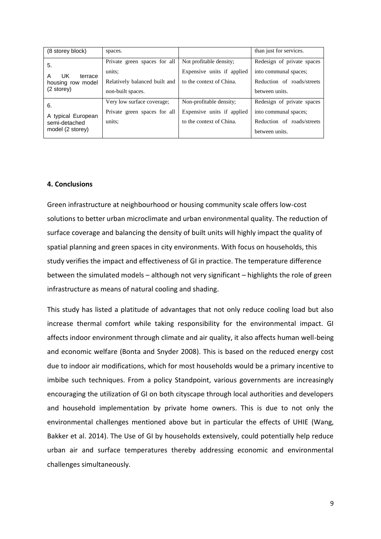| (8 storey block)                                                           | spaces.                                                                                      |                                                                                   | than just for services.                                                                             |
|----------------------------------------------------------------------------|----------------------------------------------------------------------------------------------|-----------------------------------------------------------------------------------|-----------------------------------------------------------------------------------------------------|
| 5.<br>UK.<br>A<br>terrace<br>housing row model<br>$(2 \text{ store} \vee)$ | Private green spaces for all<br>units:<br>Relatively balanced built and<br>non-built spaces. | Not profitable density;<br>Expensive units if applied<br>to the context of China. | Redesign of private spaces<br>into communal spaces;<br>Reduction of roads/streets<br>between units. |
| 6.<br>A typical European<br>semi-detached<br>model (2 storey)              | Very low surface coverage;<br>Private green spaces for all<br>units:                         | Non-profitable density;<br>Expensive units if applied<br>to the context of China. | Redesign of private spaces<br>into communal spaces;<br>Reduction of roads/streets<br>between units. |

# **4. Conclusions**

Green infrastructure at neighbourhood or housing community scale offers low-cost solutions to better urban microclimate and urban environmental quality. The reduction of surface coverage and balancing the density of built units will highly impact the quality of spatial planning and green spaces in city environments. With focus on households, this study verifies the impact and effectiveness of GI in practice. The temperature difference between the simulated models – although not very significant – highlights the role of green infrastructure as means of natural cooling and shading.

This study has listed a platitude of advantages that not only reduce cooling load but also increase thermal comfort while taking responsibility for the environmental impact. GI affects indoor environment through climate and air quality, it also affects human well-being and economic welfare (Bonta and Snyder 2008). This is based on the reduced energy cost due to indoor air modifications, which for most households would be a primary incentive to imbibe such techniques. From a policy Standpoint, various governments are increasingly encouraging the utilization of GI on both cityscape through local authorities and developers and household implementation by private home owners. This is due to not only the environmental challenges mentioned above but in particular the effects of UHIE (Wang, Bakker et al. 2014). The Use of GI by households extensively, could potentially help reduce urban air and surface temperatures thereby addressing economic and environmental challenges simultaneously.